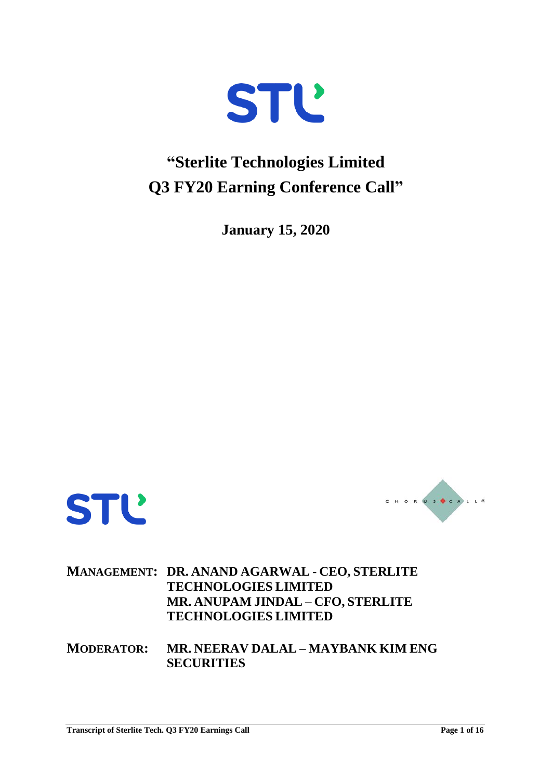

## **"Sterlite Technologies Limited Q3 FY20 Earning Conference Call"**

**January 15, 2020**





## **MANAGEMENT: DR. ANAND AGARWAL - CEO, STERLITE TECHNOLOGIES LIMITED MR. ANUPAM JINDAL – CFO, STERLITE TECHNOLOGIES LIMITED**

**MODERATOR: MR. NEERAV DALAL – MAYBANK KIM ENG SECURITIES**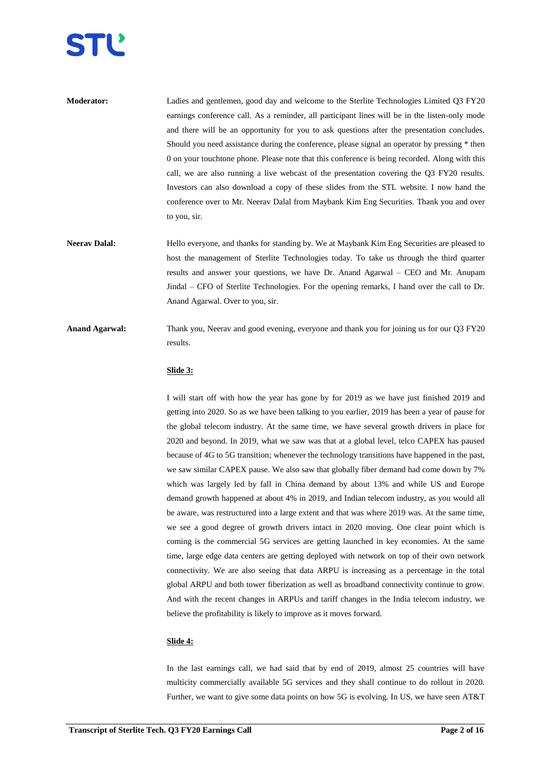

| <b>Moderator:</b> | Ladies and gentlemen, good day and welcome to the Sterlite Technologies Limited Q3 FY20        |
|-------------------|------------------------------------------------------------------------------------------------|
|                   | earnings conference call. As a reminder, all participant lines will be in the listen-only mode |
|                   | and there will be an opportunity for you to ask questions after the presentation concludes.    |
|                   | Should you need assistance during the conference, please signal an operator by pressing * then |
|                   | 0 on your touchtone phone. Please note that this conference is being recorded. Along with this |
|                   | call, we are also running a live webcast of the presentation covering the Q3 FY20 results.     |
|                   | Investors can also download a copy of these slides from the STL website. I now hand the        |
|                   | conference over to Mr. Neeray Dalal from Maybank Kim Eng Securities. Thank you and over        |
|                   | to you, sir.                                                                                   |

- **Neerav Dalal:** Hello everyone, and thanks for standing by. We at Maybank Kim Eng Securities are pleased to host the management of Sterlite Technologies today. To take us through the third quarter results and answer your questions, we have Dr. Anand Agarwal – CEO and Mr. Anupam Jindal – CFO of Sterlite Technologies. For the opening remarks, I hand over the call to Dr. Anand Agarwal. Over to you, sir.
- **Anand Agarwal:** Thank you, Neerav and good evening, everyone and thank you for joining us for our Q3 FY20 results.

#### **Slide 3:**

I will start off with how the year has gone by for 2019 as we have just finished 2019 and getting into 2020. So as we have been talking to you earlier, 2019 has been a year of pause for the global telecom industry. At the same time, we have several growth drivers in place for 2020 and beyond. In 2019, what we saw was that at a global level, telco CAPEX has paused because of 4G to 5G transition; whenever the technology transitions have happened in the past, we saw similar CAPEX pause. We also saw that globally fiber demand had come down by 7% which was largely led by fall in China demand by about 13% and while US and Europe demand growth happened at about 4% in 2019, and Indian telecom industry, as you would all be aware, was restructured into a large extent and that was where 2019 was. At the same time, we see a good degree of growth drivers intact in 2020 moving. One clear point which is coming is the commercial 5G services are getting launched in key economies. At the same time, large edge data centers are getting deployed with network on top of their own network connectivity. We are also seeing that data ARPU is increasing as a percentage in the total global ARPU and both tower fiberization as well as broadband connectivity continue to grow. And with the recent changes in ARPUs and tariff changes in the India telecom industry, we believe the profitability is likely to improve as it moves forward.

#### **Slide 4:**

In the last earnings call, we had said that by end of 2019, almost 25 countries will have multicity commercially available 5G services and they shall continue to do rollout in 2020. Further, we want to give some data points on how 5G is evolving. In US, we have seen AT&T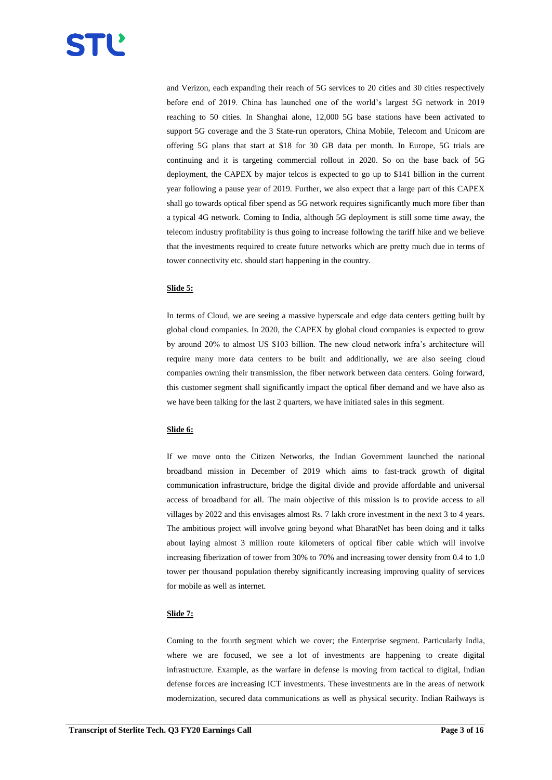and Verizon, each expanding their reach of 5G services to 20 cities and 30 cities respectively before end of 2019. China has launched one of the world's largest 5G network in 2019 reaching to 50 cities. In Shanghai alone, 12,000 5G base stations have been activated to support 5G coverage and the 3 State-run operators, China Mobile, Telecom and Unicom are offering 5G plans that start at \$18 for 30 GB data per month. In Europe, 5G trials are continuing and it is targeting commercial rollout in 2020. So on the base back of 5G deployment, the CAPEX by major telcos is expected to go up to \$141 billion in the current year following a pause year of 2019. Further, we also expect that a large part of this CAPEX shall go towards optical fiber spend as 5G network requires significantly much more fiber than a typical 4G network. Coming to India, although 5G deployment is still some time away, the telecom industry profitability is thus going to increase following the tariff hike and we believe that the investments required to create future networks which are pretty much due in terms of tower connectivity etc. should start happening in the country.

## **Slide 5:**

In terms of Cloud, we are seeing a massive hyperscale and edge data centers getting built by global cloud companies. In 2020, the CAPEX by global cloud companies is expected to grow by around 20% to almost US \$103 billion. The new cloud network infra's architecture will require many more data centers to be built and additionally, we are also seeing cloud companies owning their transmission, the fiber network between data centers. Going forward, this customer segment shall significantly impact the optical fiber demand and we have also as we have been talking for the last 2 quarters, we have initiated sales in this segment.

#### **Slide 6:**

If we move onto the Citizen Networks, the Indian Government launched the national broadband mission in December of 2019 which aims to fast-track growth of digital communication infrastructure, bridge the digital divide and provide affordable and universal access of broadband for all. The main objective of this mission is to provide access to all villages by 2022 and this envisages almost Rs. 7 lakh crore investment in the next 3 to 4 years. The ambitious project will involve going beyond what BharatNet has been doing and it talks about laying almost 3 million route kilometers of optical fiber cable which will involve increasing fiberization of tower from 30% to 70% and increasing tower density from 0.4 to 1.0 tower per thousand population thereby significantly increasing improving quality of services for mobile as well as internet.

#### **Slide 7:**

Coming to the fourth segment which we cover; the Enterprise segment. Particularly India, where we are focused, we see a lot of investments are happening to create digital infrastructure. Example, as the warfare in defense is moving from tactical to digital, Indian defense forces are increasing ICT investments. These investments are in the areas of network modernization, secured data communications as well as physical security. Indian Railways is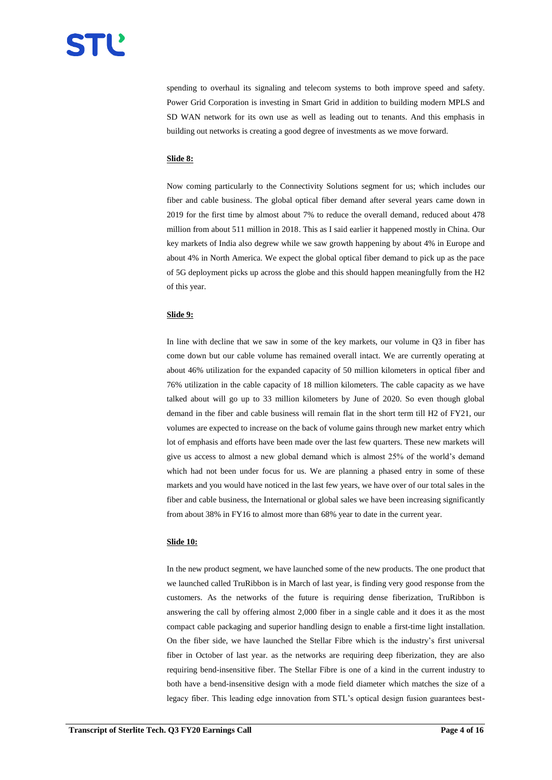

spending to overhaul its signaling and telecom systems to both improve speed and safety. Power Grid Corporation is investing in Smart Grid in addition to building modern MPLS and SD WAN network for its own use as well as leading out to tenants. And this emphasis in building out networks is creating a good degree of investments as we move forward.

#### **Slide 8:**

Now coming particularly to the Connectivity Solutions segment for us; which includes our fiber and cable business. The global optical fiber demand after several years came down in 2019 for the first time by almost about 7% to reduce the overall demand, reduced about 478 million from about 511 million in 2018. This as I said earlier it happened mostly in China. Our key markets of India also degrew while we saw growth happening by about 4% in Europe and about 4% in North America. We expect the global optical fiber demand to pick up as the pace of 5G deployment picks up across the globe and this should happen meaningfully from the H2 of this year.

## **Slide 9:**

In line with decline that we saw in some of the key markets, our volume in Q3 in fiber has come down but our cable volume has remained overall intact. We are currently operating at about 46% utilization for the expanded capacity of 50 million kilometers in optical fiber and 76% utilization in the cable capacity of 18 million kilometers. The cable capacity as we have talked about will go up to 33 million kilometers by June of 2020. So even though global demand in the fiber and cable business will remain flat in the short term till H2 of FY21, our volumes are expected to increase on the back of volume gains through new market entry which lot of emphasis and efforts have been made over the last few quarters. These new markets will give us access to almost a new global demand which is almost 25% of the world's demand which had not been under focus for us. We are planning a phased entry in some of these markets and you would have noticed in the last few years, we have over of our total sales in the fiber and cable business, the International or global sales we have been increasing significantly from about 38% in FY16 to almost more than 68% year to date in the current year.

#### **Slide 10:**

In the new product segment, we have launched some of the new products. The one product that we launched called TruRibbon is in March of last year, is finding very good response from the customers. As the networks of the future is requiring dense fiberization, TruRibbon is answering the call by offering almost 2,000 fiber in a single cable and it does it as the most compact cable packaging and superior handling design to enable a first-time light installation. On the fiber side, we have launched the Stellar Fibre which is the industry's first universal fiber in October of last year. as the networks are requiring deep fiberization, they are also requiring bend-insensitive fiber. The Stellar Fibre is one of a kind in the current industry to both have a bend-insensitive design with a mode field diameter which matches the size of a legacy fiber. This leading edge innovation from STL's optical design fusion guarantees best-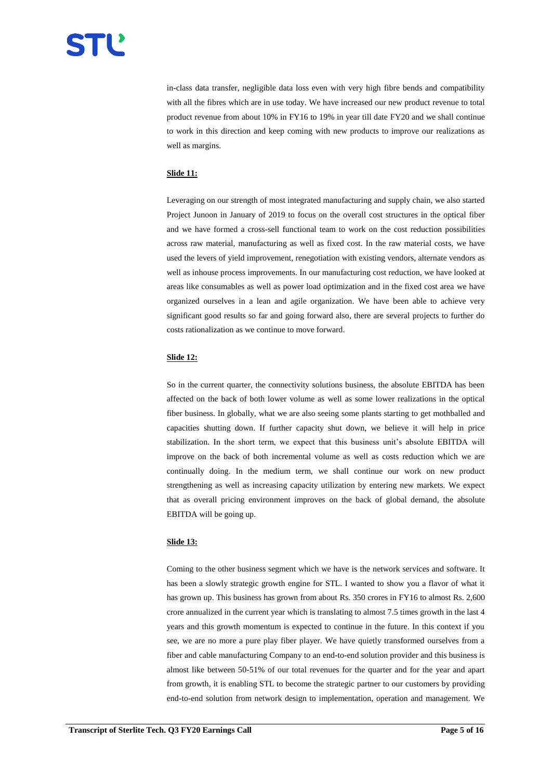

in-class data transfer, negligible data loss even with very high fibre bends and compatibility with all the fibres which are in use today. We have increased our new product revenue to total product revenue from about 10% in FY16 to 19% in year till date FY20 and we shall continue to work in this direction and keep coming with new products to improve our realizations as well as margins.

#### **Slide 11:**

Leveraging on our strength of most integrated manufacturing and supply chain, we also started Project Junoon in January of 2019 to focus on the overall cost structures in the optical fiber and we have formed a cross-sell functional team to work on the cost reduction possibilities across raw material, manufacturing as well as fixed cost. In the raw material costs, we have used the levers of yield improvement, renegotiation with existing vendors, alternate vendors as well as inhouse process improvements. In our manufacturing cost reduction, we have looked at areas like consumables as well as power load optimization and in the fixed cost area we have organized ourselves in a lean and agile organization. We have been able to achieve very significant good results so far and going forward also, there are several projects to further do costs rationalization as we continue to move forward.

#### **Slide 12:**

So in the current quarter, the connectivity solutions business, the absolute EBITDA has been affected on the back of both lower volume as well as some lower realizations in the optical fiber business. In globally, what we are also seeing some plants starting to get mothballed and capacities shutting down. If further capacity shut down, we believe it will help in price stabilization. In the short term, we expect that this business unit's absolute EBITDA will improve on the back of both incremental volume as well as costs reduction which we are continually doing. In the medium term, we shall continue our work on new product strengthening as well as increasing capacity utilization by entering new markets. We expect that as overall pricing environment improves on the back of global demand, the absolute EBITDA will be going up.

#### **Slide 13:**

Coming to the other business segment which we have is the network services and software. It has been a slowly strategic growth engine for STL. I wanted to show you a flavor of what it has grown up. This business has grown from about Rs. 350 crores in FY16 to almost Rs. 2,600 crore annualized in the current year which is translating to almost 7.5 times growth in the last 4 years and this growth momentum is expected to continue in the future. In this context if you see, we are no more a pure play fiber player. We have quietly transformed ourselves from a fiber and cable manufacturing Company to an end-to-end solution provider and this business is almost like between 50-51% of our total revenues for the quarter and for the year and apart from growth, it is enabling STL to become the strategic partner to our customers by providing end-to-end solution from network design to implementation, operation and management. We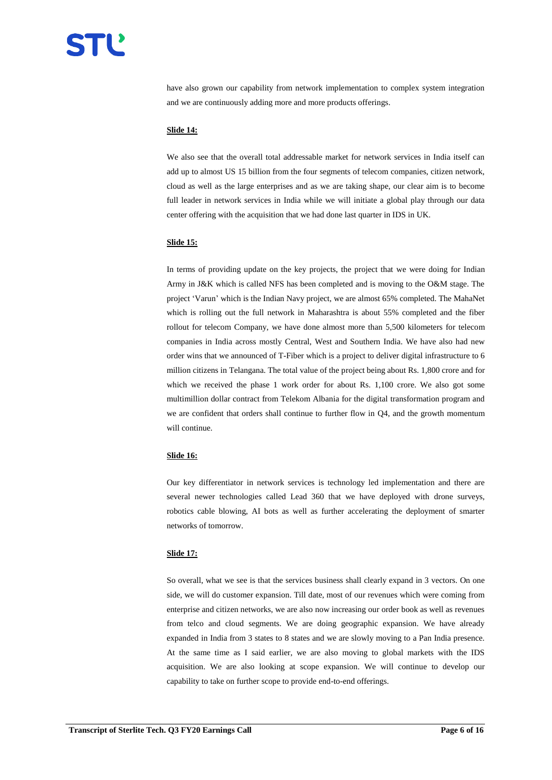have also grown our capability from network implementation to complex system integration and we are continuously adding more and more products offerings.

#### **Slide 14:**

We also see that the overall total addressable market for network services in India itself can add up to almost US 15 billion from the four segments of telecom companies, citizen network, cloud as well as the large enterprises and as we are taking shape, our clear aim is to become full leader in network services in India while we will initiate a global play through our data center offering with the acquisition that we had done last quarter in IDS in UK.

#### **Slide 15:**

In terms of providing update on the key projects, the project that we were doing for Indian Army in J&K which is called NFS has been completed and is moving to the O&M stage. The project 'Varun' which is the Indian Navy project, we are almost 65% completed. The MahaNet which is rolling out the full network in Maharashtra is about 55% completed and the fiber rollout for telecom Company, we have done almost more than 5,500 kilometers for telecom companies in India across mostly Central, West and Southern India. We have also had new order wins that we announced of T-Fiber which is a project to deliver digital infrastructure to 6 million citizens in Telangana. The total value of the project being about Rs. 1,800 crore and for which we received the phase 1 work order for about Rs. 1,100 crore. We also got some multimillion dollar contract from Telekom Albania for the digital transformation program and we are confident that orders shall continue to further flow in Q4, and the growth momentum will continue.

#### **Slide 16:**

Our key differentiator in network services is technology led implementation and there are several newer technologies called Lead 360 that we have deployed with drone surveys, robotics cable blowing, AI bots as well as further accelerating the deployment of smarter networks of tomorrow.

#### **Slide 17:**

So overall, what we see is that the services business shall clearly expand in 3 vectors. On one side, we will do customer expansion. Till date, most of our revenues which were coming from enterprise and citizen networks, we are also now increasing our order book as well as revenues from telco and cloud segments. We are doing geographic expansion. We have already expanded in India from 3 states to 8 states and we are slowly moving to a Pan India presence. At the same time as I said earlier, we are also moving to global markets with the IDS acquisition. We are also looking at scope expansion. We will continue to develop our capability to take on further scope to provide end-to-end offerings.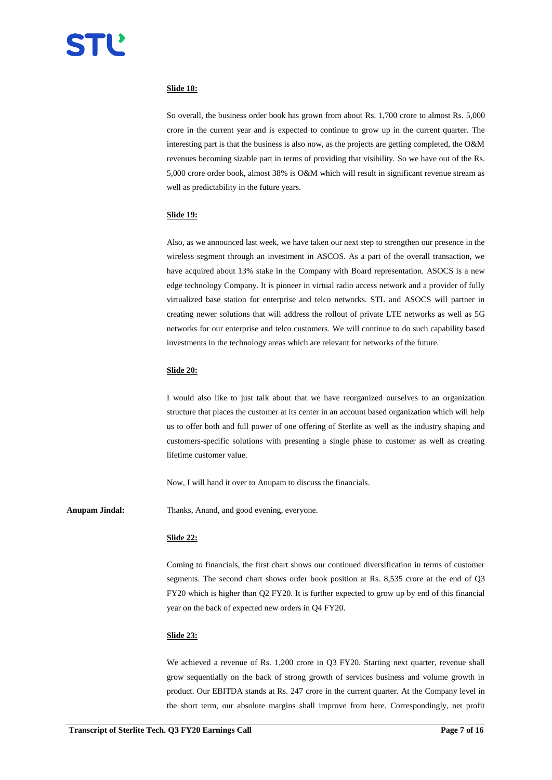## **Slide 18:**

So overall, the business order book has grown from about Rs. 1,700 crore to almost Rs. 5,000 crore in the current year and is expected to continue to grow up in the current quarter. The interesting part is that the business is also now, as the projects are getting completed, the O&M revenues becoming sizable part in terms of providing that visibility. So we have out of the Rs. 5,000 crore order book, almost 38% is O&M which will result in significant revenue stream as well as predictability in the future years.

#### **Slide 19:**

Also, as we announced last week, we have taken our next step to strengthen our presence in the wireless segment through an investment in ASCOS. As a part of the overall transaction, we have acquired about 13% stake in the Company with Board representation. ASOCS is a new edge technology Company. It is pioneer in virtual radio access network and a provider of fully virtualized base station for enterprise and telco networks. STL and ASOCS will partner in creating newer solutions that will address the rollout of private LTE networks as well as 5G networks for our enterprise and telco customers. We will continue to do such capability based investments in the technology areas which are relevant for networks of the future.

#### **Slide 20:**

I would also like to just talk about that we have reorganized ourselves to an organization structure that places the customer at its center in an account based organization which will help us to offer both and full power of one offering of Sterlite as well as the industry shaping and customers-specific solutions with presenting a single phase to customer as well as creating lifetime customer value.

Now, I will hand it over to Anupam to discuss the financials.

Anupam Jindal: Thanks, Anand, and good evening, everyone.

#### **Slide 22:**

Coming to financials, the first chart shows our continued diversification in terms of customer segments. The second chart shows order book position at Rs. 8,535 crore at the end of Q3 FY20 which is higher than Q2 FY20. It is further expected to grow up by end of this financial year on the back of expected new orders in Q4 FY20.

#### **Slide 23:**

We achieved a revenue of Rs. 1,200 crore in Q3 FY20. Starting next quarter, revenue shall grow sequentially on the back of strong growth of services business and volume growth in product. Our EBITDA stands at Rs. 247 crore in the current quarter. At the Company level in the short term, our absolute margins shall improve from here. Correspondingly, net profit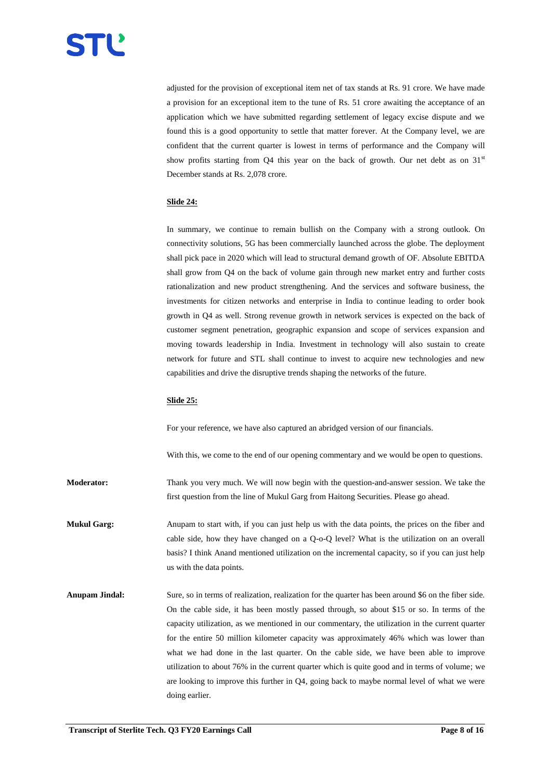adjusted for the provision of exceptional item net of tax stands at Rs. 91 crore. We have made a provision for an exceptional item to the tune of Rs. 51 crore awaiting the acceptance of an application which we have submitted regarding settlement of legacy excise dispute and we found this is a good opportunity to settle that matter forever. At the Company level, we are confident that the current quarter is lowest in terms of performance and the Company will show profits starting from Q4 this year on the back of growth. Our net debt as on  $31<sup>st</sup>$ December stands at Rs. 2,078 crore.

## **Slide 24:**

In summary, we continue to remain bullish on the Company with a strong outlook. On connectivity solutions, 5G has been commercially launched across the globe. The deployment shall pick pace in 2020 which will lead to structural demand growth of OF. Absolute EBITDA shall grow from Q4 on the back of volume gain through new market entry and further costs rationalization and new product strengthening. And the services and software business, the investments for citizen networks and enterprise in India to continue leading to order book growth in Q4 as well. Strong revenue growth in network services is expected on the back of customer segment penetration, geographic expansion and scope of services expansion and moving towards leadership in India. Investment in technology will also sustain to create network for future and STL shall continue to invest to acquire new technologies and new capabilities and drive the disruptive trends shaping the networks of the future.

#### **Slide 25:**

For your reference, we have also captured an abridged version of our financials.

With this, we come to the end of our opening commentary and we would be open to questions.

**Moderator:** Thank you very much. We will now begin with the question-and-answer session. We take the first question from the line of Mukul Garg from Haitong Securities. Please go ahead.

**Mukul Garg:** Anupam to start with, if you can just help us with the data points, the prices on the fiber and cable side, how they have changed on a Q-o-Q level? What is the utilization on an overall basis? I think Anand mentioned utilization on the incremental capacity, so if you can just help us with the data points.

**Anupam Jindal:** Sure, so in terms of realization, realization for the quarter has been around \$6 on the fiber side. On the cable side, it has been mostly passed through, so about \$15 or so. In terms of the capacity utilization, as we mentioned in our commentary, the utilization in the current quarter for the entire 50 million kilometer capacity was approximately 46% which was lower than what we had done in the last quarter. On the cable side, we have been able to improve utilization to about 76% in the current quarter which is quite good and in terms of volume; we are looking to improve this further in Q4, going back to maybe normal level of what we were doing earlier.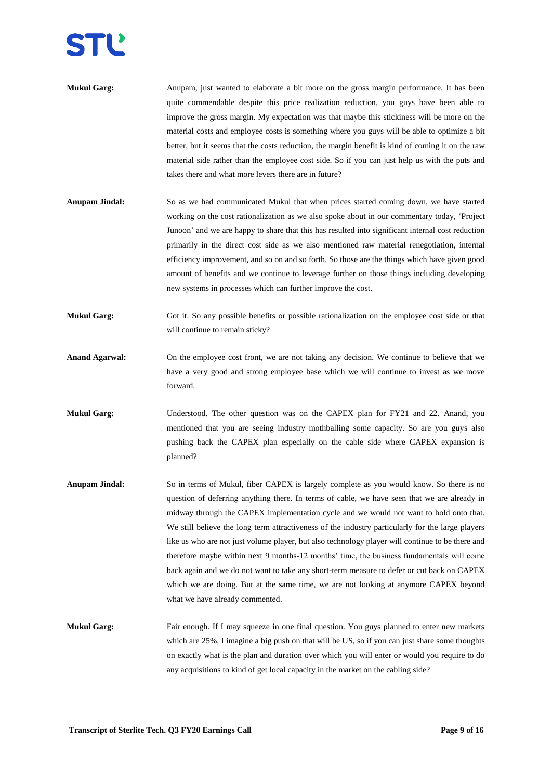| <b>Mukul Garg:</b> | Anupam, just wanted to elaborate a bit more on the gross margin performance. It has been          |
|--------------------|---------------------------------------------------------------------------------------------------|
|                    | quite commendable despite this price realization reduction, you guys have been able to            |
|                    | improve the gross margin. My expectation was that maybe this stickiness will be more on the       |
|                    | material costs and employee costs is something where you guys will be able to optimize a bit      |
|                    | better, but it seems that the costs reduction, the margin benefit is kind of coming it on the raw |
|                    | material side rather than the employee cost side. So if you can just help us with the puts and    |
|                    | takes there and what more levers there are in future?                                             |

- **Anupam Jindal:** So as we had communicated Mukul that when prices started coming down, we have started working on the cost rationalization as we also spoke about in our commentary today, 'Project Junoon' and we are happy to share that this has resulted into significant internal cost reduction primarily in the direct cost side as we also mentioned raw material renegotiation, internal efficiency improvement, and so on and so forth. So those are the things which have given good amount of benefits and we continue to leverage further on those things including developing new systems in processes which can further improve the cost.
- **Mukul Garg:** Got it. So any possible benefits or possible rationalization on the employee cost side or that will continue to remain sticky?
- **Anand Agarwal:** On the employee cost front, we are not taking any decision. We continue to believe that we have a very good and strong employee base which we will continue to invest as we move forward.
- **Mukul Garg:** Understood. The other question was on the CAPEX plan for FY21 and 22. Anand, you mentioned that you are seeing industry mothballing some capacity. So are you guys also pushing back the CAPEX plan especially on the cable side where CAPEX expansion is planned?
- **Anupam Jindal:** So in terms of Mukul, fiber CAPEX is largely complete as you would know. So there is no question of deferring anything there. In terms of cable, we have seen that we are already in midway through the CAPEX implementation cycle and we would not want to hold onto that. We still believe the long term attractiveness of the industry particularly for the large players like us who are not just volume player, but also technology player will continue to be there and therefore maybe within next 9 months-12 months' time, the business fundamentals will come back again and we do not want to take any short-term measure to defer or cut back on CAPEX which we are doing. But at the same time, we are not looking at anymore CAPEX beyond what we have already commented.
- **Mukul Garg:** Fair enough. If I may squeeze in one final question. You guys planned to enter new markets which are 25%, I imagine a big push on that will be US, so if you can just share some thoughts on exactly what is the plan and duration over which you will enter or would you require to do any acquisitions to kind of get local capacity in the market on the cabling side?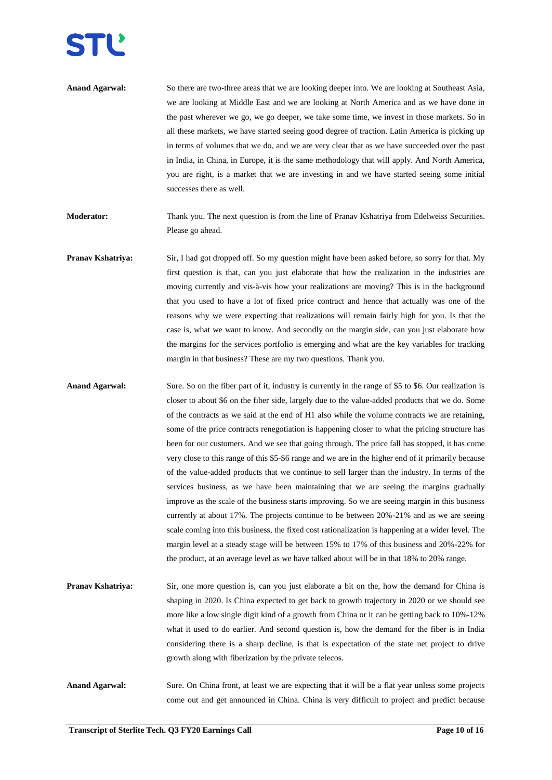

- **Anand Agarwal:** So there are two-three areas that we are looking deeper into. We are looking at Southeast Asia, we are looking at Middle East and we are looking at North America and as we have done in the past wherever we go, we go deeper, we take some time, we invest in those markets. So in all these markets, we have started seeing good degree of traction. Latin America is picking up in terms of volumes that we do, and we are very clear that as we have succeeded over the past in India, in China, in Europe, it is the same methodology that will apply. And North America, you are right, is a market that we are investing in and we have started seeing some initial successes there as well.
- **Moderator:** Thank you. The next question is from the line of Pranav Kshatriya from Edelweiss Securities. Please go ahead.
- **Pranav Kshatriya:** Sir, I had got dropped off. So my question might have been asked before, so sorry for that. My first question is that, can you just elaborate that how the realization in the industries are moving currently and vis-à-vis how your realizations are moving? This is in the background that you used to have a lot of fixed price contract and hence that actually was one of the reasons why we were expecting that realizations will remain fairly high for you. Is that the case is, what we want to know. And secondly on the margin side, can you just elaborate how the margins for the services portfolio is emerging and what are the key variables for tracking margin in that business? These are my two questions. Thank you.
- **Anand Agarwal:** Sure. So on the fiber part of it, industry is currently in the range of \$5 to \$6. Our realization is closer to about \$6 on the fiber side, largely due to the value-added products that we do. Some of the contracts as we said at the end of H1 also while the volume contracts we are retaining, some of the price contracts renegotiation is happening closer to what the pricing structure has been for our customers. And we see that going through. The price fall has stopped, it has come very close to this range of this \$5-\$6 range and we are in the higher end of it primarily because of the value-added products that we continue to sell larger than the industry. In terms of the services business, as we have been maintaining that we are seeing the margins gradually improve as the scale of the business starts improving. So we are seeing margin in this business currently at about 17%. The projects continue to be between 20%-21% and as we are seeing scale coming into this business, the fixed cost rationalization is happening at a wider level. The margin level at a steady stage will be between 15% to 17% of this business and 20%-22% for the product, at an average level as we have talked about will be in that 18% to 20% range.
- **Pranav Kshatriya:** Sir, one more question is, can you just elaborate a bit on the, how the demand for China is shaping in 2020. Is China expected to get back to growth trajectory in 2020 or we should see more like a low single digit kind of a growth from China or it can be getting back to 10%-12% what it used to do earlier. And second question is, how the demand for the fiber is in India considering there is a sharp decline, is that is expectation of the state net project to drive growth along with fiberization by the private telecos.
- **Anand Agarwal:** Sure. On China front, at least we are expecting that it will be a flat year unless some projects come out and get announced in China. China is very difficult to project and predict because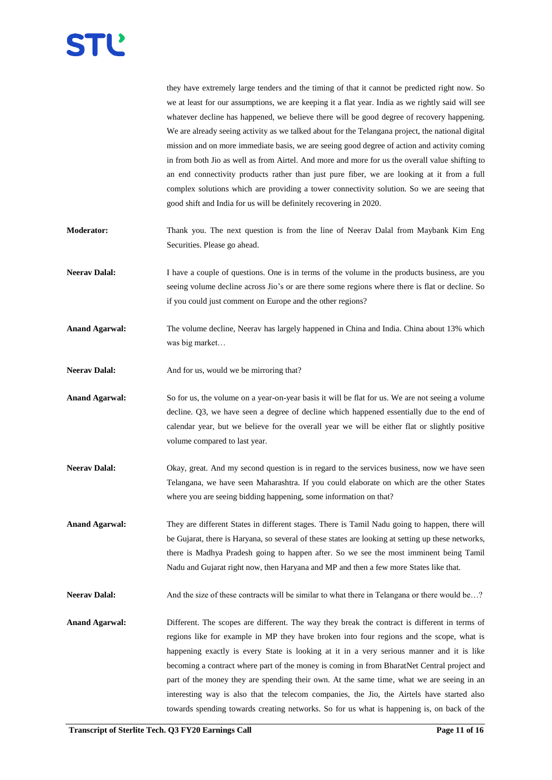

|                       | they have extremely large tenders and the timing of that it cannot be predicted right now. So<br>we at least for our assumptions, we are keeping it a flat year. India as we rightly said will see<br>whatever decline has happened, we believe there will be good degree of recovery happening.<br>We are already seeing activity as we talked about for the Telangana project, the national digital<br>mission and on more immediate basis, we are seeing good degree of action and activity coming<br>in from both Jio as well as from Airtel. And more and more for us the overall value shifting to<br>an end connectivity products rather than just pure fiber, we are looking at it from a full<br>complex solutions which are providing a tower connectivity solution. So we are seeing that<br>good shift and India for us will be definitely recovering in 2020. |
|-----------------------|----------------------------------------------------------------------------------------------------------------------------------------------------------------------------------------------------------------------------------------------------------------------------------------------------------------------------------------------------------------------------------------------------------------------------------------------------------------------------------------------------------------------------------------------------------------------------------------------------------------------------------------------------------------------------------------------------------------------------------------------------------------------------------------------------------------------------------------------------------------------------|
| Moderator:            | Thank you. The next question is from the line of Neerav Dalal from Maybank Kim Eng<br>Securities. Please go ahead.                                                                                                                                                                                                                                                                                                                                                                                                                                                                                                                                                                                                                                                                                                                                                         |
| <b>Neerav Dalal:</b>  | I have a couple of questions. One is in terms of the volume in the products business, are you<br>seeing volume decline across Jio's or are there some regions where there is flat or decline. So<br>if you could just comment on Europe and the other regions?                                                                                                                                                                                                                                                                                                                                                                                                                                                                                                                                                                                                             |
| <b>Anand Agarwal:</b> | The volume decline, Neerav has largely happened in China and India. China about 13% which<br>was big market                                                                                                                                                                                                                                                                                                                                                                                                                                                                                                                                                                                                                                                                                                                                                                |
| <b>Neerav Dalal:</b>  | And for us, would we be mirroring that?                                                                                                                                                                                                                                                                                                                                                                                                                                                                                                                                                                                                                                                                                                                                                                                                                                    |
| <b>Anand Agarwal:</b> | So for us, the volume on a year-on-year basis it will be flat for us. We are not seeing a volume<br>decline. Q3, we have seen a degree of decline which happened essentially due to the end of<br>calendar year, but we believe for the overall year we will be either flat or slightly positive<br>volume compared to last year.                                                                                                                                                                                                                                                                                                                                                                                                                                                                                                                                          |
| <b>Neerav Dalal:</b>  | Okay, great. And my second question is in regard to the services business, now we have seen<br>Telangana, we have seen Maharashtra. If you could elaborate on which are the other States<br>where you are seeing bidding happening, some information on that?                                                                                                                                                                                                                                                                                                                                                                                                                                                                                                                                                                                                              |
| <b>Anand Agarwal:</b> | They are different States in different stages. There is Tamil Nadu going to happen, there will<br>be Gujarat, there is Haryana, so several of these states are looking at setting up these networks,<br>there is Madhya Pradesh going to happen after. So we see the most imminent being Tamil<br>Nadu and Gujarat right now, then Haryana and MP and then a few more States like that.                                                                                                                                                                                                                                                                                                                                                                                                                                                                                    |
| <b>Neerav Dalal:</b>  | And the size of these contracts will be similar to what there in Telangana or there would be?                                                                                                                                                                                                                                                                                                                                                                                                                                                                                                                                                                                                                                                                                                                                                                              |
| <b>Anand Agarwal:</b> | Different. The scopes are different. The way they break the contract is different in terms of<br>regions like for example in MP they have broken into four regions and the scope, what is<br>happening exactly is every State is looking at it in a very serious manner and it is like<br>becoming a contract where part of the money is coming in from BharatNet Central project and<br>part of the money they are spending their own. At the same time, what we are seeing in an<br>interesting way is also that the telecom companies, the Jio, the Airtels have started also                                                                                                                                                                                                                                                                                           |

towards spending towards creating networks. So for us what is happening is, on back of the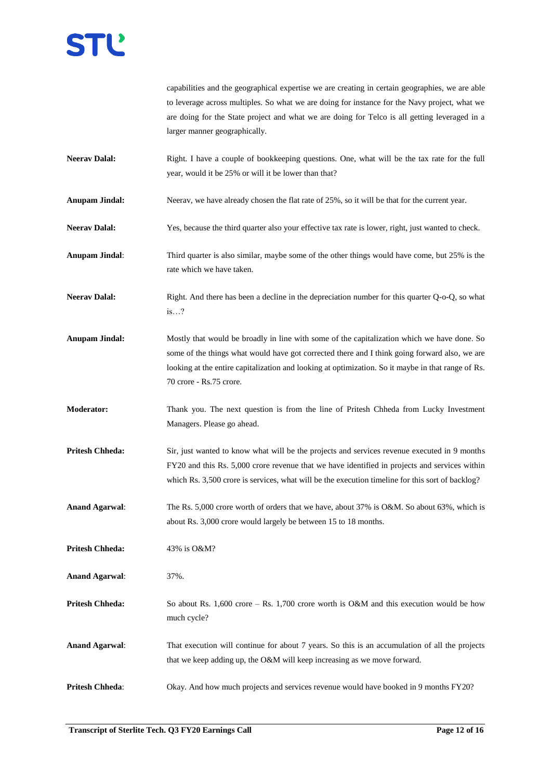capabilities and the geographical expertise we are creating in certain geographies, we are able to leverage across multiples. So what we are doing for instance for the Navy project, what we are doing for the State project and what we are doing for Telco is all getting leveraged in a larger manner geographically.

- **Neerav Dalal:** Right. I have a couple of bookkeeping questions. One, what will be the tax rate for the full year, would it be 25% or will it be lower than that?
- **Anupam Jindal:** Neerav, we have already chosen the flat rate of 25%, so it will be that for the current year.
- Neerav Dalal: Yes, because the third quarter also your effective tax rate is lower, right, just wanted to check.
- **Anupam Jindal**: Third quarter is also similar, maybe some of the other things would have come, but 25% is the rate which we have taken.
- **Neerav Dalal:** Right. And there has been a decline in the depreciation number for this quarter Q-o-Q, so what is…?
- **Anupam Jindal:** Mostly that would be broadly in line with some of the capitalization which we have done. So some of the things what would have got corrected there and I think going forward also, we are looking at the entire capitalization and looking at optimization. So it maybe in that range of Rs. 70 crore - Rs.75 crore.
- **Moderator:** Thank you. The next question is from the line of Pritesh Chheda from Lucky Investment Managers. Please go ahead.
- **Pritesh Chheda:** Sir, just wanted to know what will be the projects and services revenue executed in 9 months FY20 and this Rs. 5,000 crore revenue that we have identified in projects and services within which Rs. 3,500 crore is services, what will be the execution timeline for this sort of backlog?
- **Anand Agarwal:** The Rs. 5,000 crore worth of orders that we have, about 37% is O&M. So about 63%, which is about Rs. 3,000 crore would largely be between 15 to 18 months.
- **Pritesh Chheda:** 43% is O&M?
- **Anand Agarwal**: 37%.
- **Pritesh Chheda:** So about Rs. 1,600 crore Rs. 1,700 crore worth is O&M and this execution would be how much cycle?
- **Anand Agarwal**: That execution will continue for about 7 years. So this is an accumulation of all the projects that we keep adding up, the O&M will keep increasing as we move forward.
- **Pritesh Chheda:** Okay. And how much projects and services revenue would have booked in 9 months FY20?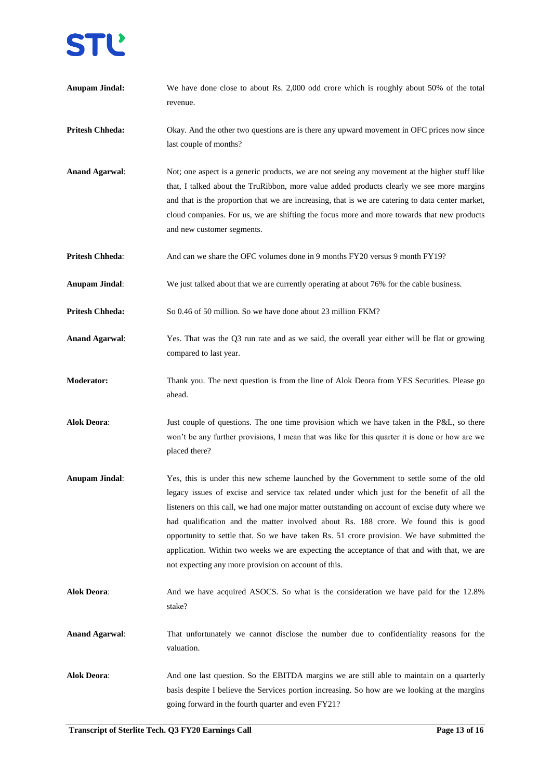**Anupam Jindal:** We have done close to about Rs. 2,000 odd crore which is roughly about 50% of the total revenue. **Pritesh Chheda:** Okay. And the other two questions are is there any upward movement in OFC prices now since last couple of months? **Anand Agarwal**: Not; one aspect is a generic products, we are not seeing any movement at the higher stuff like that, I talked about the TruRibbon, more value added products clearly we see more margins and that is the proportion that we are increasing, that is we are catering to data center market, cloud companies. For us, we are shifting the focus more and more towards that new products and new customer segments. **Pritesh Chheda:** And can we share the OFC volumes done in 9 months FY20 versus 9 month FY19? **Anupam Jindal**: We just talked about that we are currently operating at about 76% for the cable business. **Pritesh Chheda:** So 0.46 of 50 million. So we have done about 23 million FKM? **Anand Agarwal**: Yes. That was the Q3 run rate and as we said, the overall year either will be flat or growing compared to last year. **Moderator:** Thank you. The next question is from the line of Alok Deora from YES Securities. Please go ahead. **Alok Deora**: Just couple of questions. The one time provision which we have taken in the P&L, so there won't be any further provisions, I mean that was like for this quarter it is done or how are we placed there? **Anupam Jindal**: Yes, this is under this new scheme launched by the Government to settle some of the old legacy issues of excise and service tax related under which just for the benefit of all the listeners on this call, we had one major matter outstanding on account of excise duty where we had qualification and the matter involved about Rs. 188 crore. We found this is good opportunity to settle that. So we have taken Rs. 51 crore provision. We have submitted the application. Within two weeks we are expecting the acceptance of that and with that, we are not expecting any more provision on account of this. **Alok Deora**: And we have acquired ASOCS. So what is the consideration we have paid for the 12.8% stake? **Anand Agarwal**: That unfortunately we cannot disclose the number due to confidentiality reasons for the valuation. **Alok Deora**: And one last question. So the EBITDA margins we are still able to maintain on a quarterly basis despite I believe the Services portion increasing. So how are we looking at the margins going forward in the fourth quarter and even FY21?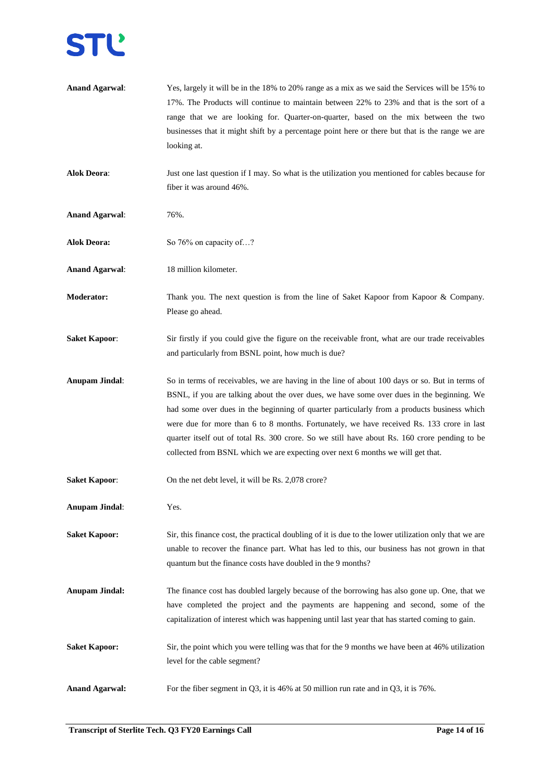

| <b>Anand Agarwal:</b> | Yes, largely it will be in the 18% to 20% range as a mix as we said the Services will be 15% to<br>17%. The Products will continue to maintain between 22% to 23% and that is the sort of a |
|-----------------------|---------------------------------------------------------------------------------------------------------------------------------------------------------------------------------------------|
|                       | range that we are looking for. Quarter-on-quarter, based on the mix between the two                                                                                                         |
|                       | businesses that it might shift by a percentage point here or there but that is the range we are                                                                                             |
|                       | looking at.                                                                                                                                                                                 |
| <b>Alok Deora:</b>    | Just one last question if I may. So what is the utilization you mentioned for cables because for                                                                                            |
|                       | fiber it was around 46%.                                                                                                                                                                    |
|                       |                                                                                                                                                                                             |
| <b>Anand Agarwal:</b> | 76%.                                                                                                                                                                                        |
| <b>Alok Deora:</b>    | So 76% on capacity of?                                                                                                                                                                      |
| <b>Anand Agarwal:</b> | 18 million kilometer.                                                                                                                                                                       |
| <b>Moderator:</b>     | Thank you. The next question is from the line of Saket Kapoor from Kapoor & Company.                                                                                                        |
|                       | Please go ahead.                                                                                                                                                                            |
| <b>Saket Kapoor:</b>  | Sir firstly if you could give the figure on the receivable front, what are our trade receivables                                                                                            |
|                       | and particularly from BSNL point, how much is due?                                                                                                                                          |
|                       |                                                                                                                                                                                             |
| <b>Anupam Jindal:</b> | So in terms of receivables, we are having in the line of about 100 days or so. But in terms of                                                                                              |
|                       | BSNL, if you are talking about the over dues, we have some over dues in the beginning. We                                                                                                   |
|                       | had some over dues in the beginning of quarter particularly from a products business which<br>were due for more than 6 to 8 months. Fortunately, we have received Rs. 133 crore in last     |
|                       | quarter itself out of total Rs. 300 crore. So we still have about Rs. 160 crore pending to be                                                                                               |
|                       | collected from BSNL which we are expecting over next 6 months we will get that.                                                                                                             |
|                       |                                                                                                                                                                                             |
| <b>Saket Kapoor:</b>  | On the net debt level, it will be Rs. 2,078 crore?                                                                                                                                          |
| <b>Anupam Jindal:</b> | Yes.                                                                                                                                                                                        |
| <b>Saket Kapoor:</b>  | Sir, this finance cost, the practical doubling of it is due to the lower utilization only that we are                                                                                       |
|                       | unable to recover the finance part. What has led to this, our business has not grown in that                                                                                                |
|                       | quantum but the finance costs have doubled in the 9 months?                                                                                                                                 |
| <b>Anupam Jindal:</b> | The finance cost has doubled largely because of the borrowing has also gone up. One, that we                                                                                                |
|                       | have completed the project and the payments are happening and second, some of the                                                                                                           |
|                       | capitalization of interest which was happening until last year that has started coming to gain.                                                                                             |
| <b>Saket Kapoor:</b>  | Sir, the point which you were telling was that for the 9 months we have been at 46% utilization                                                                                             |
|                       | level for the cable segment?                                                                                                                                                                |
|                       |                                                                                                                                                                                             |
| <b>Anand Agarwal:</b> | For the fiber segment in Q3, it is 46% at 50 million run rate and in Q3, it is $76\%$ .                                                                                                     |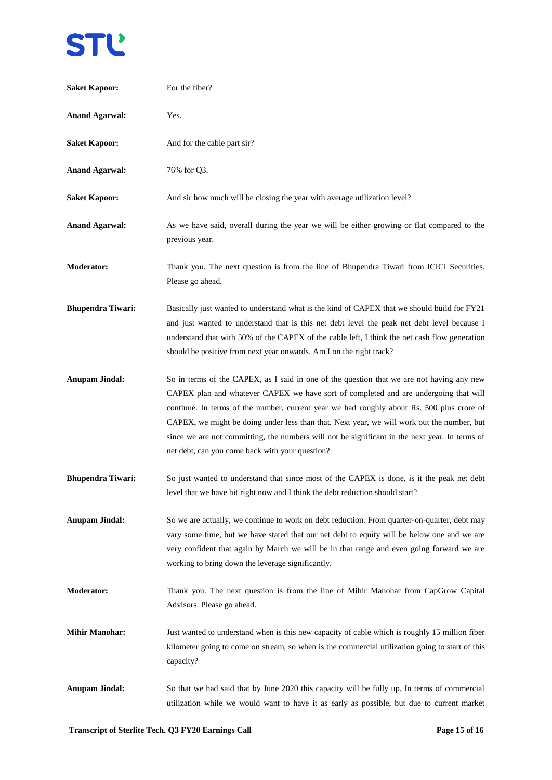# **STL**

| <b>Saket Kapoor:</b>     | For the fiber?                                                                                                                                                                                                                                                                                                                                                                                                                                                                                                                    |
|--------------------------|-----------------------------------------------------------------------------------------------------------------------------------------------------------------------------------------------------------------------------------------------------------------------------------------------------------------------------------------------------------------------------------------------------------------------------------------------------------------------------------------------------------------------------------|
| <b>Anand Agarwal:</b>    | Yes.                                                                                                                                                                                                                                                                                                                                                                                                                                                                                                                              |
| <b>Saket Kapoor:</b>     | And for the cable part sir?                                                                                                                                                                                                                                                                                                                                                                                                                                                                                                       |
| <b>Anand Agarwal:</b>    | 76% for Q3.                                                                                                                                                                                                                                                                                                                                                                                                                                                                                                                       |
| <b>Saket Kapoor:</b>     | And sir how much will be closing the year with average utilization level?                                                                                                                                                                                                                                                                                                                                                                                                                                                         |
| <b>Anand Agarwal:</b>    | As we have said, overall during the year we will be either growing or flat compared to the<br>previous year.                                                                                                                                                                                                                                                                                                                                                                                                                      |
| <b>Moderator:</b>        | Thank you. The next question is from the line of Bhupendra Tiwari from ICICI Securities.<br>Please go ahead.                                                                                                                                                                                                                                                                                                                                                                                                                      |
| <b>Bhupendra Tiwari:</b> | Basically just wanted to understand what is the kind of CAPEX that we should build for FY21<br>and just wanted to understand that is this net debt level the peak net debt level because I<br>understand that with 50% of the CAPEX of the cable left, I think the net cash flow generation<br>should be positive from next year onwards. Am I on the right track?                                                                                                                                                                |
| <b>Anupam Jindal:</b>    | So in terms of the CAPEX, as I said in one of the question that we are not having any new<br>CAPEX plan and whatever CAPEX we have sort of completed and are undergoing that will<br>continue. In terms of the number, current year we had roughly about Rs. 500 plus crore of<br>CAPEX, we might be doing under less than that. Next year, we will work out the number, but<br>since we are not committing, the numbers will not be significant in the next year. In terms of<br>net debt, can you come back with your question? |
| <b>Bhupendra Tiwari:</b> | So just wanted to understand that since most of the CAPEX is done, is it the peak net debt<br>level that we have hit right now and I think the debt reduction should start?                                                                                                                                                                                                                                                                                                                                                       |
| <b>Anupam Jindal:</b>    | So we are actually, we continue to work on debt reduction. From quarter-on-quarter, debt may<br>vary some time, but we have stated that our net debt to equity will be below one and we are<br>very confident that again by March we will be in that range and even going forward we are<br>working to bring down the leverage significantly.                                                                                                                                                                                     |
| <b>Moderator:</b>        | Thank you. The next question is from the line of Mihir Manohar from CapGrow Capital<br>Advisors. Please go ahead.                                                                                                                                                                                                                                                                                                                                                                                                                 |
| <b>Mihir Manohar:</b>    | Just wanted to understand when is this new capacity of cable which is roughly 15 million fiber<br>kilometer going to come on stream, so when is the commercial utilization going to start of this<br>capacity?                                                                                                                                                                                                                                                                                                                    |
| <b>Anupam Jindal:</b>    | So that we had said that by June 2020 this capacity will be fully up. In terms of commercial<br>utilization while we would want to have it as early as possible, but due to current market                                                                                                                                                                                                                                                                                                                                        |